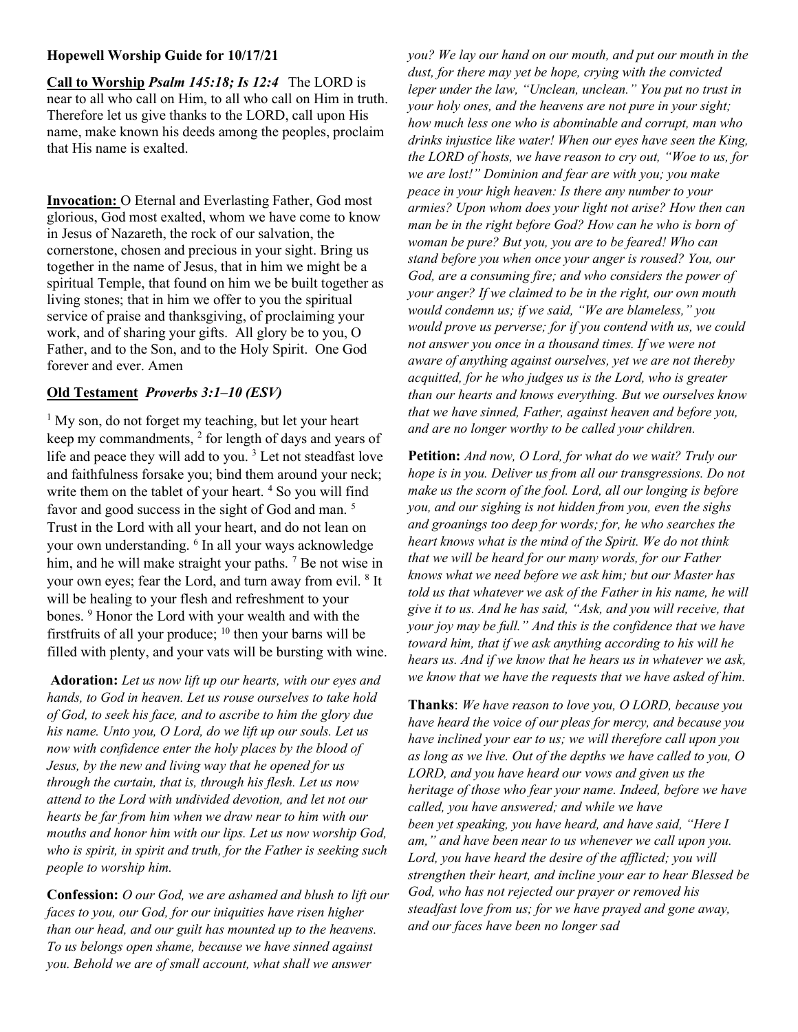## Hopewell Worship Guide for 10/17/21

Call to Worship Psalm 145:18; Is 12:4 The LORD is near to all who call on Him, to all who call on Him in truth. Therefore let us give thanks to the LORD, call upon His name, make known his deeds among the peoples, proclaim that His name is exalted.

Invocation: O Eternal and Everlasting Father, God most glorious, God most exalted, whom we have come to know in Jesus of Nazareth, the rock of our salvation, the cornerstone, chosen and precious in your sight. Bring us together in the name of Jesus, that in him we might be a spiritual Temple, that found on him we be built together as living stones; that in him we offer to you the spiritual service of praise and thanksgiving, of proclaiming your work, and of sharing your gifts. All glory be to you, O Father, and to the Son, and to the Holy Spirit. One God forever and ever. Amen

## Old Testament Proverbs 3:1–10 (ESV)

<sup>1</sup> My son, do not forget my teaching, but let your heart keep my commandments,  $2$  for length of days and years of life and peace they will add to you.<sup>3</sup> Let not steadfast love and faithfulness forsake you; bind them around your neck; write them on the tablet of your heart.<sup>4</sup> So you will find favor and good success in the sight of God and man.<sup>5</sup> Trust in the Lord with all your heart, and do not lean on your own understanding. <sup>6</sup> In all your ways acknowledge him, and he will make straight your paths. <sup>7</sup> Be not wise in your own eyes; fear the Lord, and turn away from evil. <sup>8</sup> It will be healing to your flesh and refreshment to your bones. <sup>9</sup> Honor the Lord with your wealth and with the firstfruits of all your produce;  $^{10}$  then your barns will be filled with plenty, and your vats will be bursting with wine.

Adoration: Let us now lift up our hearts, with our eyes and hands, to God in heaven. Let us rouse ourselves to take hold of God, to seek his face, and to ascribe to him the glory due his name. Unto you, O Lord, do we lift up our souls. Let us now with confidence enter the holy places by the blood of Jesus, by the new and living way that he opened for us through the curtain, that is, through his flesh. Let us now attend to the Lord with undivided devotion, and let not our hearts be far from him when we draw near to him with our mouths and honor him with our lips. Let us now worship God, who is spirit, in spirit and truth, for the Father is seeking such people to worship him.

Confession: O our God, we are ashamed and blush to lift our faces to you, our God, for our iniquities have risen higher than our head, and our guilt has mounted up to the heavens. To us belongs open shame, because we have sinned against you. Behold we are of small account, what shall we answer

you? We lay our hand on our mouth, and put our mouth in the dust, for there may yet be hope, crying with the convicted leper under the law, "Unclean, unclean." You put no trust in your holy ones, and the heavens are not pure in your sight; how much less one who is abominable and corrupt, man who drinks injustice like water! When our eyes have seen the King, the LORD of hosts, we have reason to cry out, "Woe to us, for we are lost!" Dominion and fear are with you; you make peace in your high heaven: Is there any number to your armies? Upon whom does your light not arise? How then can man be in the right before God? How can he who is born of woman be pure? But you, you are to be feared! Who can stand before you when once your anger is roused? You, our God, are a consuming fire; and who considers the power of your anger? If we claimed to be in the right, our own mouth would condemn us; if we said, "We are blameless," you would prove us perverse; for if you contend with us, we could not answer you once in a thousand times. If we were not aware of anything against ourselves, yet we are not thereby acquitted, for he who judges us is the Lord, who is greater than our hearts and knows everything. But we ourselves know that we have sinned, Father, against heaven and before you, and are no longer worthy to be called your children.

Petition: And now, O Lord, for what do we wait? Truly our hope is in you. Deliver us from all our transgressions. Do not make us the scorn of the fool. Lord, all our longing is before you, and our sighing is not hidden from you, even the sighs and groanings too deep for words; for, he who searches the heart knows what is the mind of the Spirit. We do not think that we will be heard for our many words, for our Father knows what we need before we ask him; but our Master has told us that whatever we ask of the Father in his name, he will give it to us. And he has said, "Ask, and you will receive, that your joy may be full." And this is the confidence that we have toward him, that if we ask anything according to his will he hears us. And if we know that he hears us in whatever we ask, we know that we have the requests that we have asked of him.

Thanks: We have reason to love you, O LORD, because you have heard the voice of our pleas for mercy, and because you have inclined your ear to us; we will therefore call upon you as long as we live. Out of the depths we have called to you, O LORD, and you have heard our vows and given us the heritage of those who fear your name. Indeed, before we have called, you have answered; and while we have been yet speaking, you have heard, and have said, "Here I am," and have been near to us whenever we call upon you. Lord, you have heard the desire of the afflicted; you will strengthen their heart, and incline your ear to hear Blessed be God, who has not rejected our prayer or removed his steadfast love from us; for we have prayed and gone away, and our faces have been no longer sad